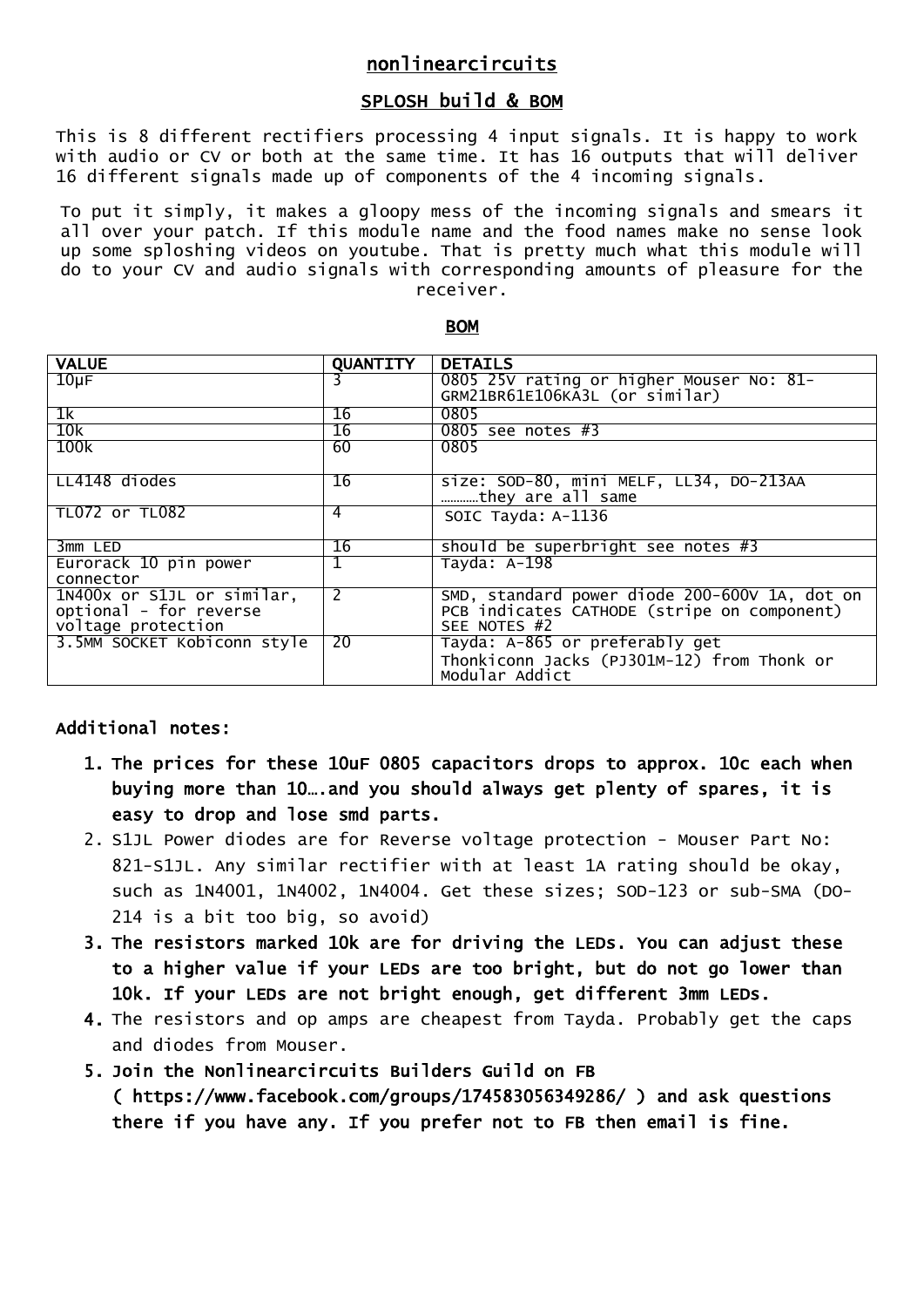## nonlinearcircuits

## SPLOSH build & BOM

This is 8 different rectifiers processing 4 input signals. It is happy to work with audio or CV or both at the same time. It has 16 outputs that will deliver 16 different signals made up of components of the 4 incoming signals.

To put it simply, it makes a gloopy mess of the incoming signals and smears it all over your patch. If this module name and the food names make no sense look up some sploshing videos on youtube. That is pretty much what this module will do to your CV and audio signals with corresponding amounts of pleasure for the receiver.

| <b>VALUE</b>                | <b>QUANTITY</b> | <b>DETAILS</b>                                |
|-----------------------------|-----------------|-----------------------------------------------|
| $10\mu F$                   |                 | 0805 25V rating or higher Mouser No: 81-      |
|                             |                 | GRM21BR61E106KA3L (or similar)                |
| 1k                          | 16              | 0805                                          |
| 10k                         | 16              | $0805$ see notes $#3$                         |
| 100k                        | 60              | 0805                                          |
|                             |                 |                                               |
| LL4148 diodes               | 16              | size: SOD-80, mini MELF, LL34, DO-213AA       |
|                             |                 | they are all same                             |
| <b>TL072 or TL082</b>       | 4               | SOIC Tayda: A-1136                            |
|                             |                 |                                               |
| 3mm LED                     | 16              | should be superbright see notes #3            |
| Eurorack 10 pin power       |                 | Tayda: $A-198$                                |
| connector                   |                 |                                               |
| 1N400x or S1JL or similar,  | 2               | SMD, standard power diode 200-600V 1A, dot on |
| optional - for reverse      |                 | PCB indicates CATHODE (stripe on component)   |
| voltage protection          |                 | SEE NOTES #2                                  |
| 3.5MM SOCKET Kobiconn style | 20              | Tayda: A-865 or preferably get                |
|                             |                 | Thonkiconn Jacks (PJ301M-12) from Thonk or    |
|                             |                 | Modular Addict                                |

## BOM

## Additional notes:

- 1. The prices for these 10uF 0805 capacitors drops to approx. 10c each when buying more than 10….and you should always get plenty of spares, it is easy to drop and lose smd parts.
- 2. S1JL Power diodes are for Reverse voltage protection Mouser Part No: 821-S1JL. Any similar rectifier with at least 1A rating should be okay, such as 1N4001, 1N4002, 1N4004. Get these sizes; SOD-123 or sub-SMA (DO-214 is a bit too big, so avoid)
- 3. The resistors marked 10k are for driving the LEDs. You can adjust these to a higher value if your LEDs are too bright, but do not go lower than 10k. If your LEDs are not bright enough, get different 3mm LEDs.
- 4. The resistors and op amps are cheapest from Tayda. Probably get the caps and diodes from Mouser.
- 5. Join the Nonlinearcircuits Builders Guild on FB ( https://www.facebook.com/groups/174583056349286/ ) and ask questions there if you have any. If you prefer not to FB then email is fine.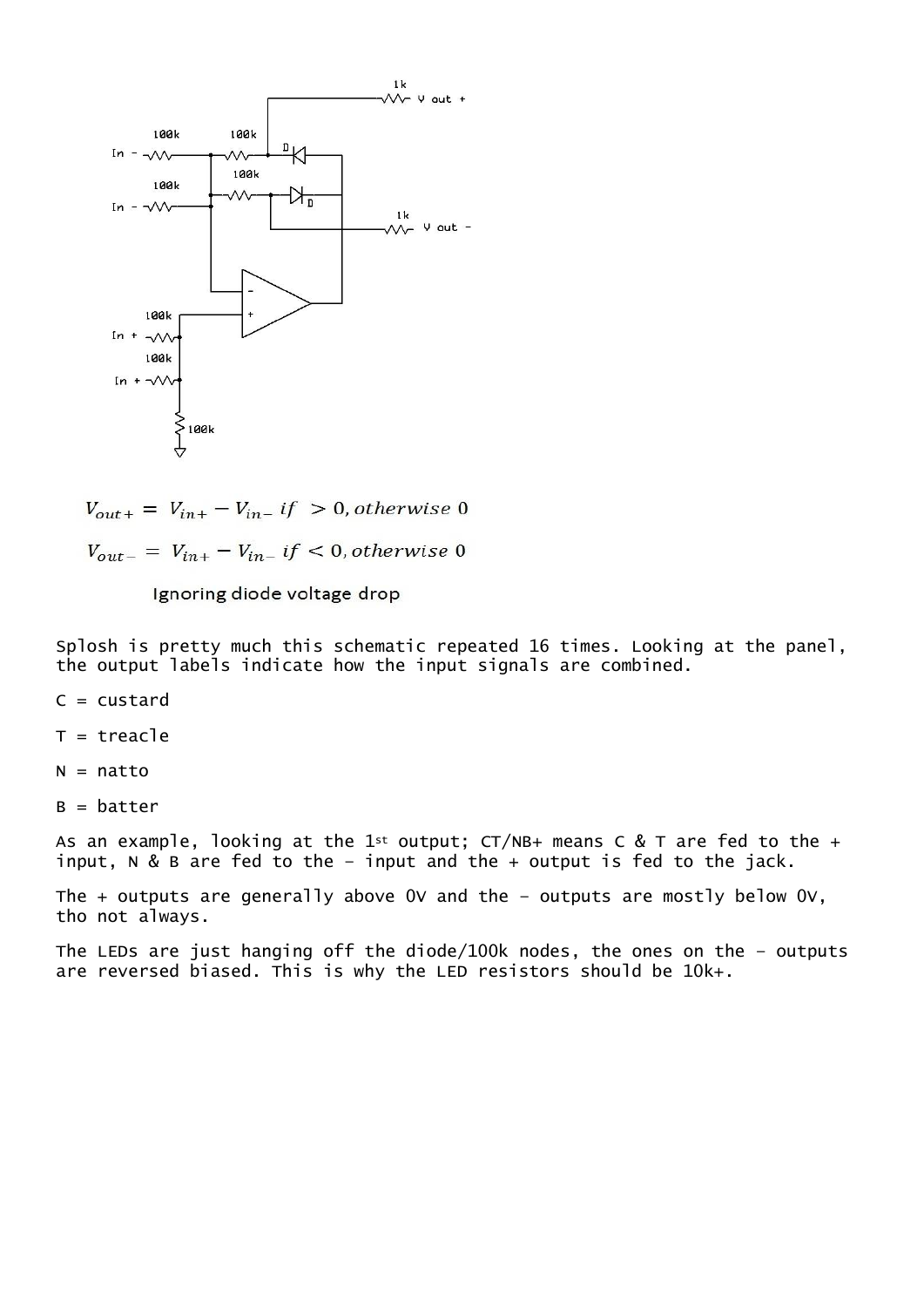

 $V_{out+} = V_{in+} - V_{in-}$  if > 0, otherwise 0  $V_{out-} = V_{in+} - V_{in-}$  if < 0, otherwise 0

Ignoring diode voltage drop

Splosh is pretty much this schematic repeated 16 times. Looking at the panel, the output labels indicate how the input signals are combined.

 $C =$  custard

- $T = \text{tracele}$
- $N = n$ atto
- $B = batter$

As an example, looking at the 1st output;  $CT/NB+$  means C & T are fed to the  $+$ input, N & B are fed to the – input and the + output is fed to the jack.

The + outputs are generally above 0V and the – outputs are mostly below 0V, tho not always.

The LEDs are just hanging off the diode/100k nodes, the ones on the – outputs are reversed biased. This is why the LED resistors should be 10k+.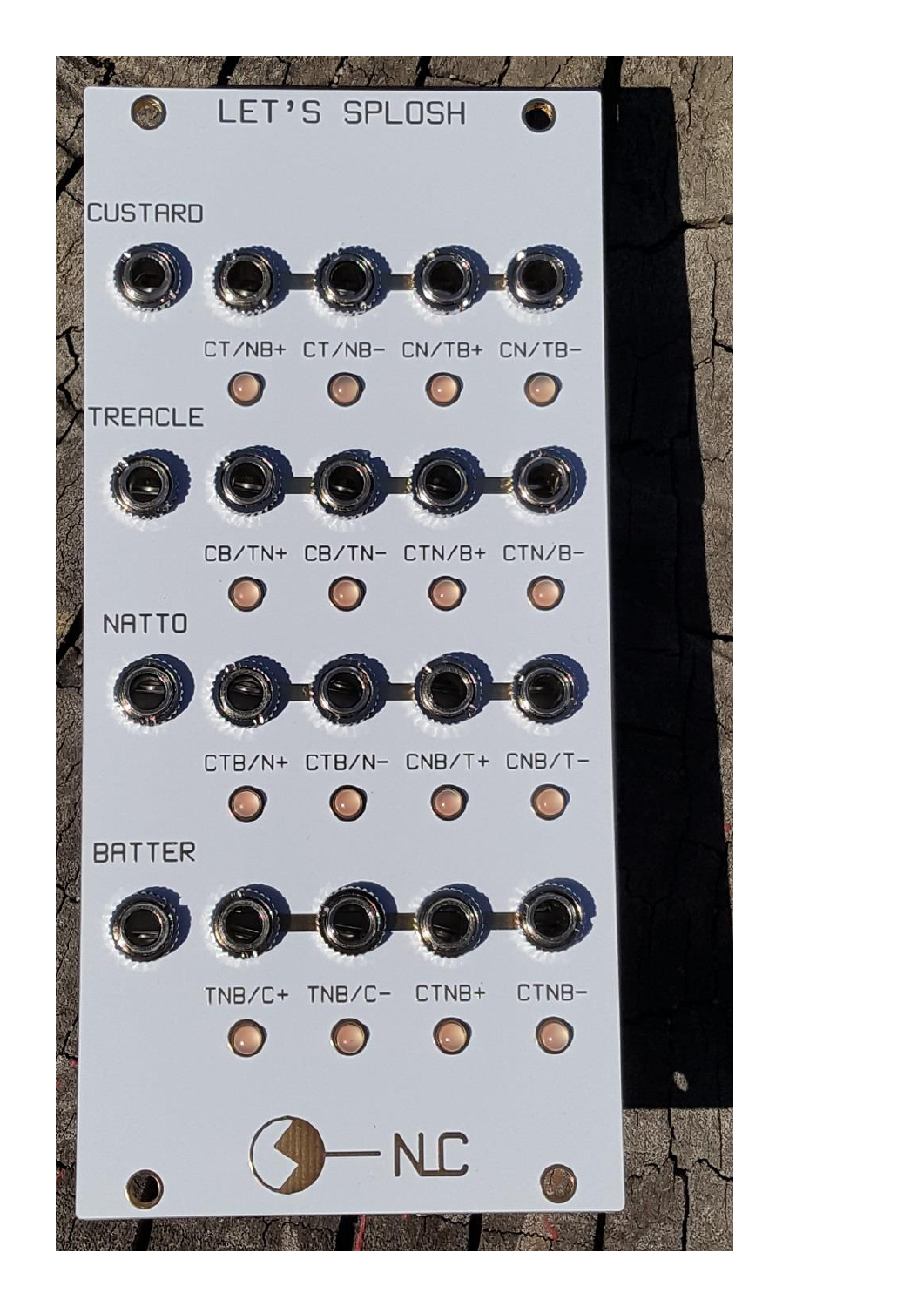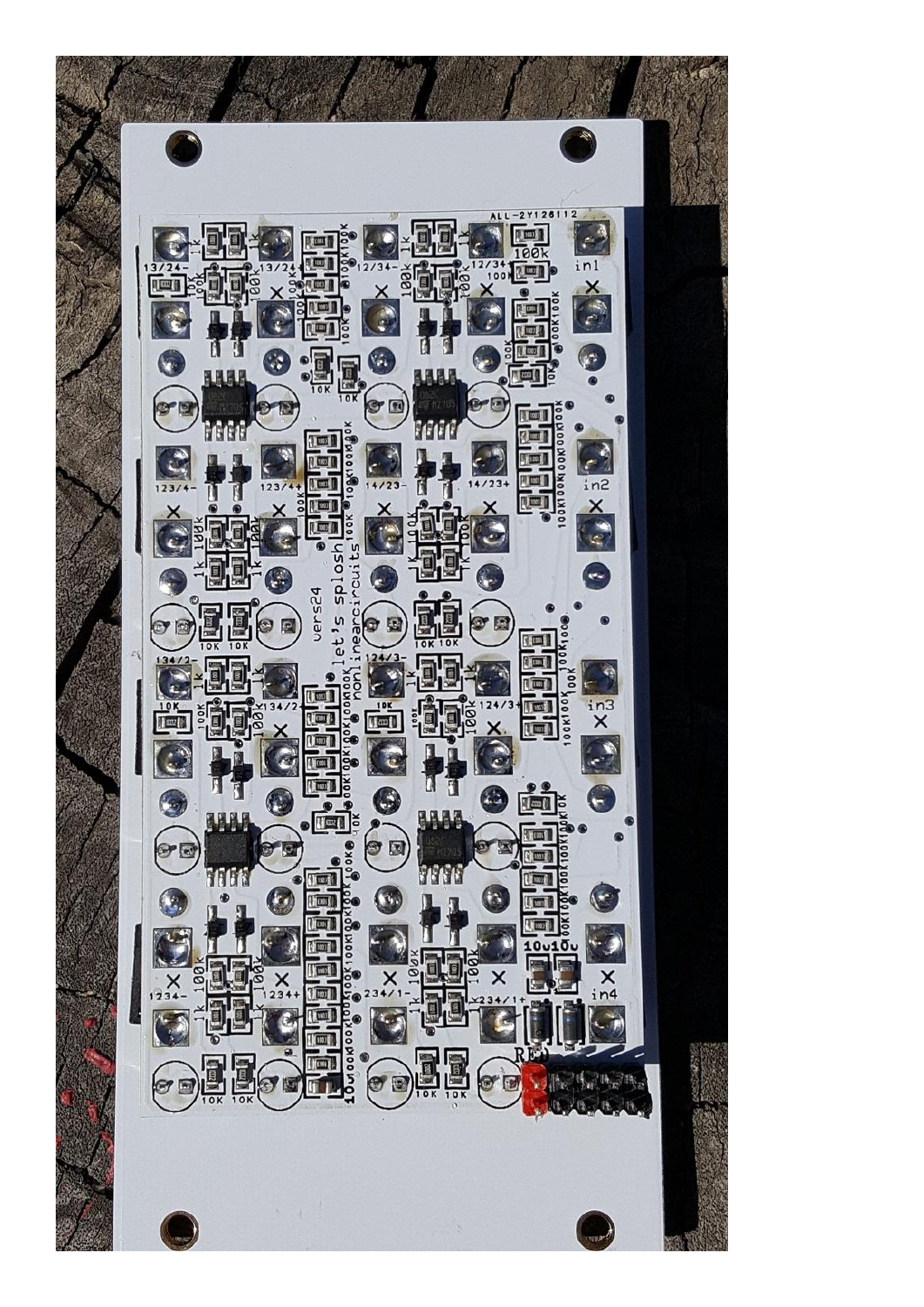